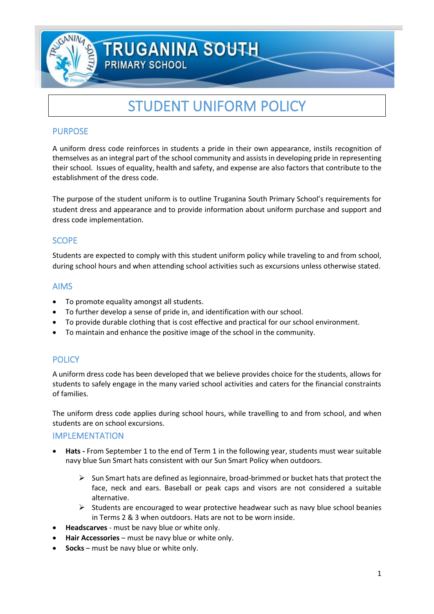

# **TRUGANINA SOUTH**

**PRIMARY SCHOOL** 

# STUDENT UNIFORM POLICY

#### PURPOSE

A uniform dress code reinforces in students a pride in their own appearance, instils recognition of themselves as an integral part of the school community and assists in developing pride in representing their school. Issues of equality, health and safety, and expense are also factors that contribute to the establishment of the dress code.

The purpose of the student uniform is to outline Truganina South Primary School's requirements for student dress and appearance and to provide information about uniform purchase and support and dress code implementation.

### **SCOPE**

Students are expected to comply with this student uniform policy while traveling to and from school, during school hours and when attending school activities such as excursions unless otherwise stated.

#### AIMS

- To promote equality amongst all students.
- To further develop a sense of pride in, and identification with our school.
- To provide durable clothing that is cost effective and practical for our school environment.
- To maintain and enhance the positive image of the school in the community.

## **POLICY**

A uniform dress code has been developed that we believe provides choice for the students, allows for students to safely engage in the many varied school activities and caters for the financial constraints of families.

The uniform dress code applies during school hours, while travelling to and from school, and when students are on school excursions.

#### IMPLEMENTATION

- **Hats -** From September 1 to the end of Term 1 in the following year, students must wear suitable navy blue Sun Smart hats consistent with our Sun Smart Policy when outdoors.
	- $\triangleright$  Sun Smart hats are defined as legionnaire, broad-brimmed or bucket hats that protect the face, neck and ears. Baseball or peak caps and visors are not considered a suitable alternative.
	- $\triangleright$  Students are encouraged to wear protective headwear such as navy blue school beanies in Terms 2 & 3 when outdoors. Hats are not to be worn inside.
- **Headscarves** must be navy blue or white only.
- **Hair Accessories**  must be navy blue or white only.
- **Socks**  must be navy blue or white only.